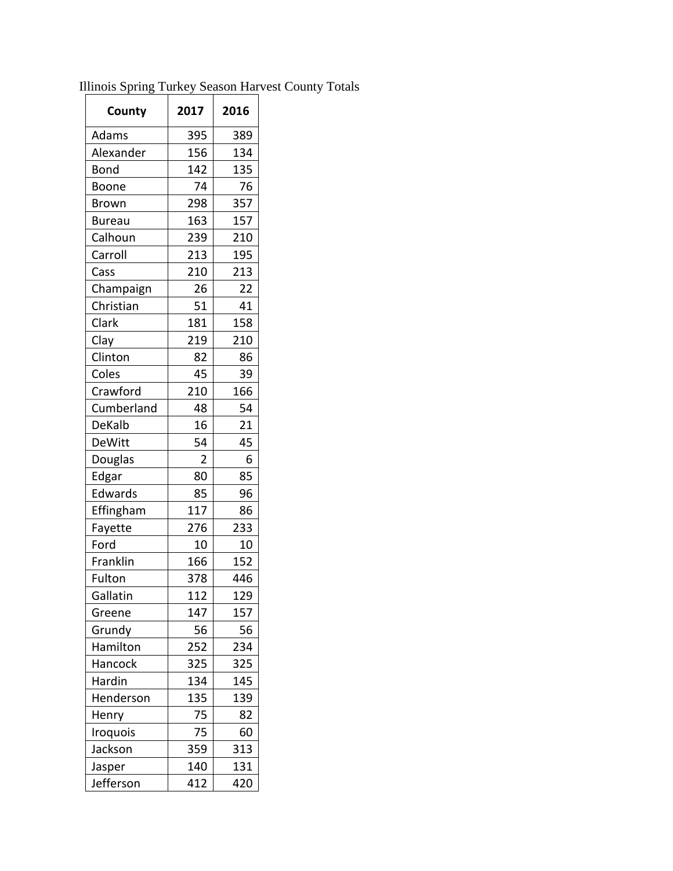| County        | 2017 | 2016 |
|---------------|------|------|
| Adams         | 395  | 389  |
| Alexander     | 156  | 134  |
| Bond          | 142  | 135  |
| Boone         | 74   | 76   |
| <b>Brown</b>  | 298  | 357  |
| <b>Bureau</b> | 163  | 157  |
| Calhoun       | 239  | 210  |
| Carroll       | 213  | 195  |
| Cass          | 210  | 213  |
| Champaign     | 26   | 22   |
| Christian     | 51   | 41   |
| Clark         | 181  | 158  |
| Clay          | 219  | 210  |
| Clinton       | 82   | 86   |
| Coles         | 45   | 39   |
| Crawford      | 210  | 166  |
| Cumberland    | 48   | 54   |
| DeKalb        | 16   | 21   |
| <b>DeWitt</b> | 54   | 45   |
| Douglas       | 2    | 6    |
| Edgar         | 80   | 85   |
| Edwards       | 85   | 96   |
| Effingham     | 117  | 86   |
| Fayette       | 276  | 233  |
| Ford          | 10   | 10   |
| Franklin      | 166  | 152  |
| Fulton        | 378  | 446  |
| Gallatin      | 112  | 129  |
| Greene        | 147  | 157  |
| Grundy        | 56   | 56   |
| Hamilton      | 252  | 234  |
| Hancock       | 325  | 325  |
| Hardin        | 134  | 145  |
| Henderson     | 135  | 139  |
| Henry         | 75   | 82   |
| Iroquois      | 75   | 60   |
| Jackson       | 359  | 313  |
| Jasper        | 140  | 131  |
| Jefferson     | 412  | 420  |

Illinois Spring Turkey Season Harvest County Totals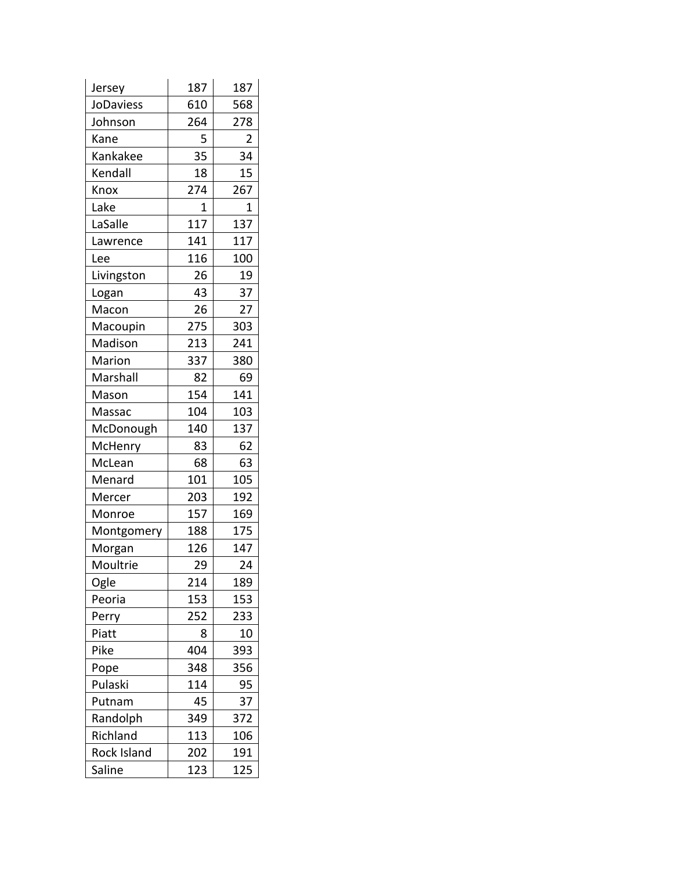| Jersey      | 187 | 187 |
|-------------|-----|-----|
| JoDaviess   | 610 | 568 |
| Johnson     | 264 | 278 |
| Kane        | 5   | 2   |
| Kankakee    | 35  | 34  |
| Kendall     | 18  | 15  |
| Knox        | 274 | 267 |
| Lake        | 1   | 1   |
| LaSalle     | 117 | 137 |
| Lawrence    | 141 | 117 |
| Lee         | 116 | 100 |
| Livingston  | 26  | 19  |
| Logan       | 43  | 37  |
| Macon       | 26  | 27  |
| Macoupin    | 275 | 303 |
| Madison     | 213 | 241 |
| Marion      | 337 | 380 |
| Marshall    | 82  | 69  |
| Mason       | 154 | 141 |
| Massac      | 104 | 103 |
| McDonough   | 140 | 137 |
| McHenry     | 83  | 62  |
| McLean      | 68  | 63  |
| Menard      | 101 | 105 |
| Mercer      | 203 | 192 |
| Monroe      | 157 | 169 |
| Montgomery  | 188 | 175 |
| Morgan      | 126 | 147 |
| Moultrie    | 29  | 24  |
| Ogle        | 214 | 189 |
| Peoria      | 153 | 153 |
| Perry       | 252 | 233 |
| Piatt       | 8   | 10  |
| Pike        | 404 | 393 |
| Pope        | 348 | 356 |
| Pulaski     | 114 | 95  |
| Putnam      | 45  | 37  |
| Randolph    | 349 | 372 |
| Richland    | 113 | 106 |
| Rock Island | 202 | 191 |
| Saline      | 123 | 125 |